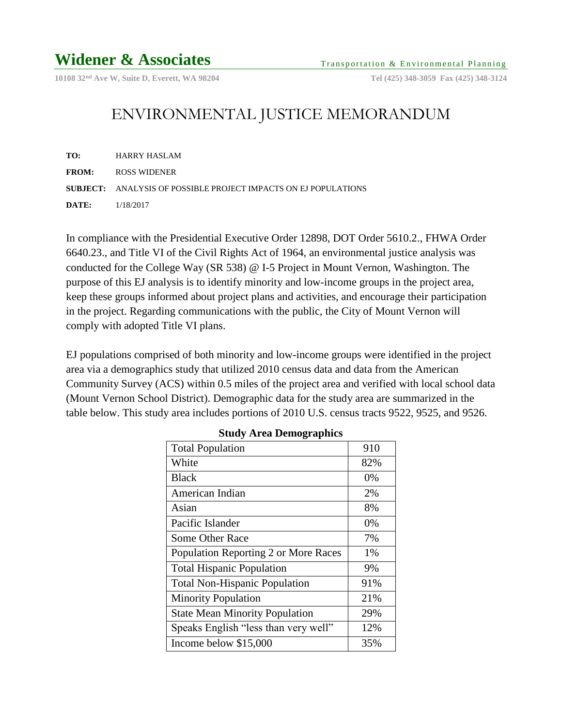**10108 32nd Ave W, Suite D, Everett, WA 98204 Tel (425) 348-3059 Fax (425) 348-3124**

## ENVIRONMENTAL JUSTICE MEMORANDUM

| TO:                      | HARRY HASLAM                                                           |
|--------------------------|------------------------------------------------------------------------|
|                          | <b>FROM:</b> ROSS WIDENER                                              |
|                          | <b>SUBJECT:</b> ANALYSIS OF POSSIBLE PROJECT IMPACTS ON EJ POPULATIONS |
| <b>DATE:</b> $1/18/2017$ |                                                                        |

In compliance with the Presidential Executive Order 12898, DOT Order 5610.2., FHWA Order 6640.23., and Title VI of the Civil Rights Act of 1964, an environmental justice analysis was conducted for the College Way (SR 538) @ I-5 Project in Mount Vernon, Washington. The purpose of this EJ analysis is to identify minority and low-income groups in the project area, keep these groups informed about project plans and activities, and encourage their participation in the project. Regarding communications with the public, the City of Mount Vernon will comply with adopted Title VI plans.

EJ populations comprised of both minority and low-income groups were identified in the project area via a demographics study that utilized 2010 census data and data from the American Community Survey (ACS) within 0.5 miles of the project area and verified with local school data (Mount Vernon School District). Demographic data for the study area are summarized in the table below. This study area includes portions of 2010 U.S. census tracts 9522, 9525, and 9526.

| <b>Total Population</b>               | 910 |
|---------------------------------------|-----|
| White                                 | 82% |
| <b>Black</b>                          | 0%  |
| American Indian                       | 2%  |
| Asian                                 | 8%  |
| Pacific Islander                      | 0%  |
| <b>Some Other Race</b>                | 7%  |
| Population Reporting 2 or More Races  | 1%  |
| <b>Total Hispanic Population</b>      | 9%  |
| <b>Total Non-Hispanic Population</b>  | 91% |
| <b>Minority Population</b>            | 21% |
| <b>State Mean Minority Population</b> | 29% |
| Speaks English "less than very well"  | 12% |
| Income below \$15,000                 | 35% |

### **Study Area Demographics**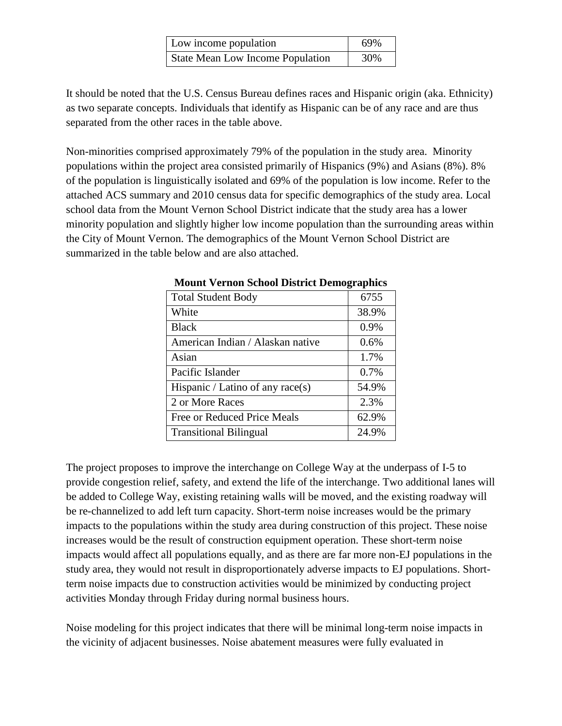| Low income population                   | 69% |
|-----------------------------------------|-----|
| <b>State Mean Low Income Population</b> | 30% |

It should be noted that the U.S. Census Bureau defines races and Hispanic origin (aka. Ethnicity) as two separate concepts. Individuals that identify as Hispanic can be of any race and are thus separated from the other races in the table above.

Non-minorities comprised approximately 79% of the population in the study area. Minority populations within the project area consisted primarily of Hispanics (9%) and Asians (8%). 8% of the population is linguistically isolated and 69% of the population is low income. Refer to the attached ACS summary and 2010 census data for specific demographics of the study area. Local school data from the Mount Vernon School District indicate that the study area has a lower minority population and slightly higher low income population than the surrounding areas within the City of Mount Vernon. The demographics of the Mount Vernon School District are summarized in the table below and are also attached.

| <b>Total Student Body</b>        | 6755    |
|----------------------------------|---------|
| White                            | 38.9%   |
| <b>Black</b>                     | 0.9%    |
| American Indian / Alaskan native | $0.6\%$ |
| Asian                            | 1.7%    |
| Pacific Islander                 | 0.7%    |
| Hispanic / Latino of any race(s) | 54.9%   |
| 2 or More Races                  | 2.3%    |
| Free or Reduced Price Meals      | 62.9%   |
| <b>Transitional Bilingual</b>    | 24.9%   |

**Mount Vernon School District Demographics**

The project proposes to improve the interchange on College Way at the underpass of I-5 to provide congestion relief, safety, and extend the life of the interchange. Two additional lanes will be added to College Way, existing retaining walls will be moved, and the existing roadway will be re-channelized to add left turn capacity. Short-term noise increases would be the primary impacts to the populations within the study area during construction of this project. These noise increases would be the result of construction equipment operation. These short-term noise impacts would affect all populations equally, and as there are far more non-EJ populations in the study area, they would not result in disproportionately adverse impacts to EJ populations. Shortterm noise impacts due to construction activities would be minimized by conducting project activities Monday through Friday during normal business hours.

Noise modeling for this project indicates that there will be minimal long-term noise impacts in the vicinity of adjacent businesses. Noise abatement measures were fully evaluated in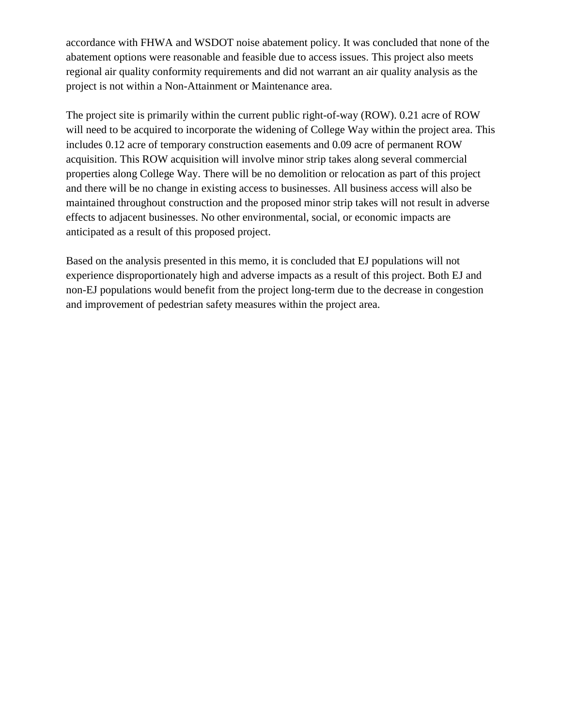accordance with FHWA and WSDOT noise abatement policy. It was concluded that none of the abatement options were reasonable and feasible due to access issues. This project also meets regional air quality conformity requirements and did not warrant an air quality analysis as the project is not within a Non-Attainment or Maintenance area.

The project site is primarily within the current public right-of-way (ROW). 0.21 acre of ROW will need to be acquired to incorporate the widening of College Way within the project area. This includes 0.12 acre of temporary construction easements and 0.09 acre of permanent ROW acquisition. This ROW acquisition will involve minor strip takes along several commercial properties along College Way. There will be no demolition or relocation as part of this project and there will be no change in existing access to businesses. All business access will also be maintained throughout construction and the proposed minor strip takes will not result in adverse effects to adjacent businesses. No other environmental, social, or economic impacts are anticipated as a result of this proposed project.

Based on the analysis presented in this memo, it is concluded that EJ populations will not experience disproportionately high and adverse impacts as a result of this project. Both EJ and non-EJ populations would benefit from the project long-term due to the decrease in congestion and improvement of pedestrian safety measures within the project area.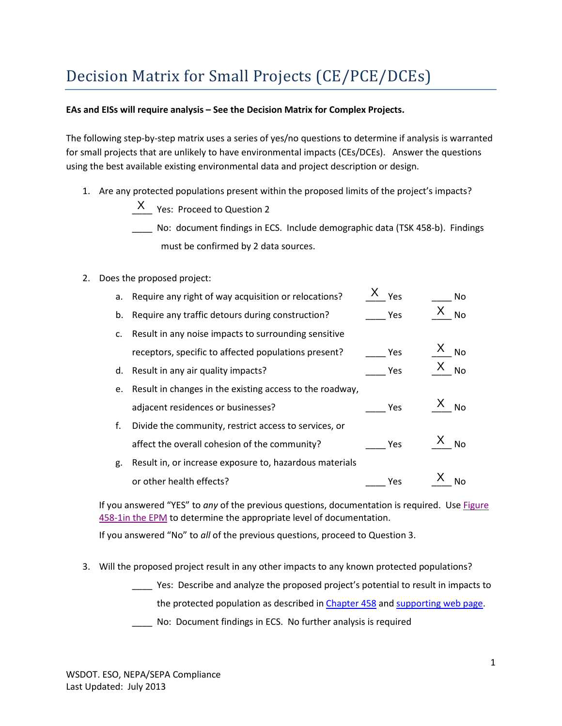# Decision Matrix for Small Projects (CE/PCE/DCEs)

#### **EAs and EISs will require analysis – See the Decision Matrix for Complex Projects.**

The following step-by-step matrix uses a series of yes/no questions to determine if analysis is warranted for small projects that are unlikely to have environmental impacts (CEs/DCEs). Answer the questions using the best available existing environmental data and project description or design.

1. Are any protected populations present within the proposed limits of the project's impacts?

 $\frac{\mathsf{X}}{\mathsf{X}}$  Yes: Proceed to Question 2

No: document findings in ECS. Include demographic data (TSK 458-b). Findings must be confirmed by 2 data sources.

### 2. Does the proposed project:

| a. | Require any right of way acquisition or relocations?     | Υρς | N٥        |
|----|----------------------------------------------------------|-----|-----------|
| b. | Require any traffic detours during construction?         | Yes | <b>No</b> |
| c. | Result in any noise impacts to surrounding sensitive     |     |           |
|    | receptors, specific to affected populations present?     | Yes | <b>No</b> |
|    | d. Result in any air quality impacts?                    | Yes | <b>No</b> |
| e. | Result in changes in the existing access to the roadway, |     |           |
|    | adjacent residences or businesses?                       | Yes | <b>No</b> |
| f. | Divide the community, restrict access to services, or    |     |           |
|    | affect the overall cohesion of the community?            | Yes |           |
| g. | Result in, or increase exposure to, hazardous materials  |     |           |
|    | or other health effects?                                 | Yes |           |

If you answered "YES" to *any* of the previous questions, documentation is required. Use [Figure](http://www.wsdot.wa.gov/publications/manuals/fulltext/M31-11/458.pdf) [458-1in the EPM](http://www.wsdot.wa.gov/publications/manuals/fulltext/M31-11/458.pdf) to determine the appropriate level of documentation.

If you answered "No" to *all* of the previous questions, proceed to Question 3.

3. Will the proposed project result in any other impacts to any known protected populations?

\_\_\_\_ Yes: Describe and analyze the proposed project's potential to result in impacts to

the protected population as described in [Chapter 458](http://www.wsdot.wa.gov/publications/manuals/fulltext/M31-11/458.pdf) and [supporting web page.](http://www.wsdot.wa.gov/Environment/EJ/Default.htm)

No: Document findings in ECS. No further analysis is required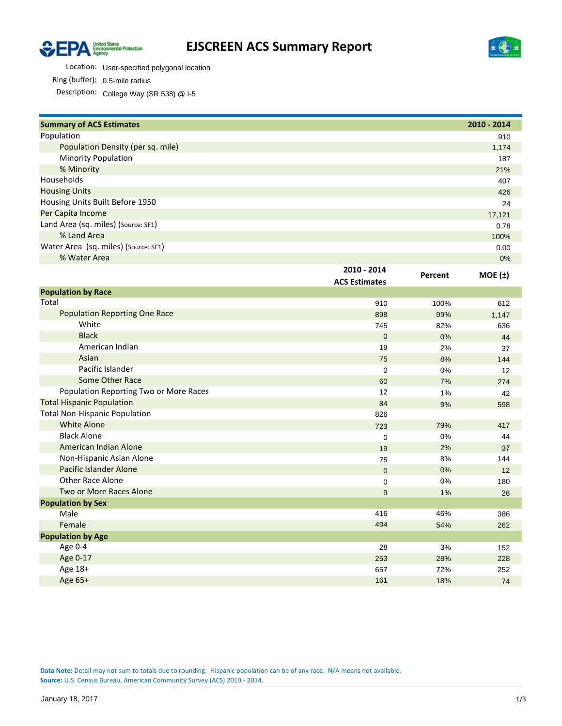

### **EJSCREEN ACS Summary Report**



Location: User-specified polygonal location

Ring (buffer): 0.5-mile radius

Description: College Way (SR 538) @ I-5

| <b>Summary of ACS Estimates</b>      |             | 2010 - 2014 |
|--------------------------------------|-------------|-------------|
| Population                           |             | 910         |
| Population Density (per sq. mile)    |             | 1,174       |
| <b>Minority Population</b>           |             | 187         |
| % Minority                           |             | 21%         |
| Households                           |             | 407         |
| <b>Housing Units</b>                 |             | 426         |
| Housing Units Built Before 1950      |             | 24          |
| Per Capita Income                    |             | 17,121      |
| Land Area (sq. miles) (Source: SF1)  |             | 0.78        |
| % Land Area                          |             | 100%        |
| Water Area (sq. miles) (Source: SF1) |             | 0.00        |
| % Water Area                         |             | $0\%$       |
|                                      | 2010 - 2014 |             |

|                                        | <b>ZUIU - ZUI4</b><br><b>ACS Estimates</b> | Percent | $MOE(\pm)$ |
|----------------------------------------|--------------------------------------------|---------|------------|
| <b>Population by Race</b>              |                                            |         |            |
| Total                                  | 910                                        | 100%    | 612        |
| <b>Population Reporting One Race</b>   | 898                                        | 99%     | 1,147      |
| White                                  | 745                                        | 82%     | 636        |
| <b>Black</b>                           | $\mathbf{0}$                               | 0%      | 44         |
| American Indian                        | 19                                         | 2%      | 37         |
| Asian                                  | 75                                         | 8%      | 144        |
| Pacific Islander                       | $\Omega$                                   | 0%      | 12         |
| Some Other Race                        | 60                                         | 7%      | 274        |
| Population Reporting Two or More Races | 12                                         | 1%      | 42         |
| <b>Total Hispanic Population</b>       | 84                                         | 9%      | 598        |
| <b>Total Non-Hispanic Population</b>   | 826                                        |         |            |
| White Alone                            | 723                                        | 79%     | 417        |
| <b>Black Alone</b>                     | $\Omega$                                   | $0\%$   | 44         |
| American Indian Alone                  | 19                                         | 2%      | 37         |
| Non-Hispanic Asian Alone               | 75                                         | 8%      | 144        |
| <b>Pacific Islander Alone</b>          | $\Omega$                                   | 0%      | 12         |
| <b>Other Race Alone</b>                | 0                                          | 0%      | 180        |
| Two or More Races Alone                | 9                                          | 1%      | 26         |
| <b>Population by Sex</b>               |                                            |         |            |
| Male                                   | 416                                        | 46%     | 386        |
| Female                                 | 494                                        | 54%     | 262        |
| <b>Population by Age</b>               |                                            |         |            |
| Age 0-4                                | 28                                         | 3%      | 152        |
| Age 0-17                               | 253                                        | 28%     | 228        |
| Age 18+                                | 657                                        | 72%     | 252        |
| Age 65+                                | 161                                        | 18%     | 74         |

**Data Note:** Detail may not sum to totals due to rounding. Hispanic population can be of any race. N/A means not available. **Source:** U.S. Census Bureau, American Community Survey (ACS) 2010 - 2014.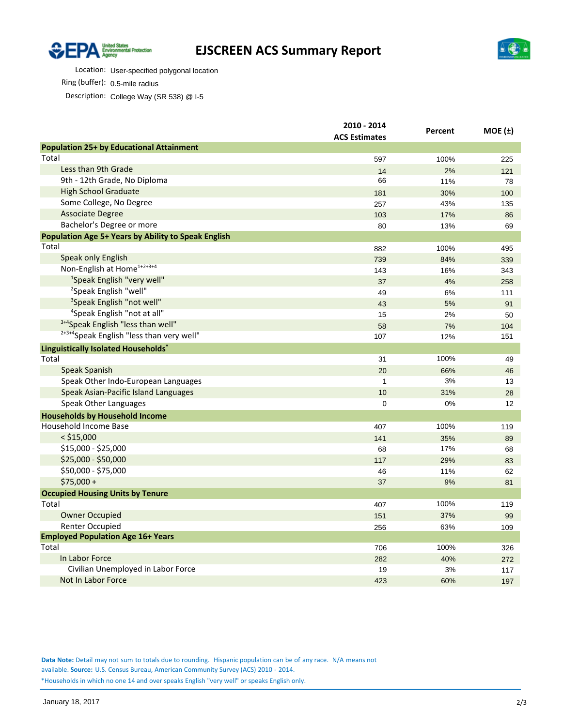

### **EJSCREEN ACS Summary Report**



Location: User-specified polygonal location Ring (buffer): 0.5-mile radius Description: College Way (SR 538) @ I-5

|                                                                                                                                                                                                                                                                                                     | 2010 - 2014<br><b>ACS Estimates</b> | Percent | $MOE(\pm)$ |
|-----------------------------------------------------------------------------------------------------------------------------------------------------------------------------------------------------------------------------------------------------------------------------------------------------|-------------------------------------|---------|------------|
| <b>Population 25+ by Educational Attainment</b>                                                                                                                                                                                                                                                     |                                     |         |            |
| Total                                                                                                                                                                                                                                                                                               | 597                                 | 100%    | 225        |
| Less than 9th Grade                                                                                                                                                                                                                                                                                 | 14                                  | 2%      | 121        |
| 9th - 12th Grade, No Diploma                                                                                                                                                                                                                                                                        | 66                                  | 11%     | 78         |
| <b>High School Graduate</b>                                                                                                                                                                                                                                                                         | 181                                 | 30%     | 100        |
| Some College, No Degree                                                                                                                                                                                                                                                                             | 257                                 | 43%     | 135        |
| <b>Associate Degree</b>                                                                                                                                                                                                                                                                             | 103                                 | 17%     | 86         |
| Bachelor's Degree or more                                                                                                                                                                                                                                                                           | 80                                  | 13%     | 69         |
| Population Age 5+ Years by Ability to Speak English                                                                                                                                                                                                                                                 |                                     |         |            |
| Total                                                                                                                                                                                                                                                                                               | 882                                 | 100%    | 495        |
| Speak only English                                                                                                                                                                                                                                                                                  | 739                                 | 84%     | 339        |
| Non-English at Home <sup>1+2+3+4</sup>                                                                                                                                                                                                                                                              | 143                                 | 16%     | 343        |
| <sup>1</sup> Speak English "very well"                                                                                                                                                                                                                                                              | 37                                  | 4%      | 258        |
| <sup>2</sup> Speak English "well"                                                                                                                                                                                                                                                                   | 49                                  | 6%      | 111        |
| <sup>3</sup> Speak English "not well"                                                                                                                                                                                                                                                               | 43                                  | 5%      | 91         |
| <sup>4</sup> Speak English "not at all"                                                                                                                                                                                                                                                             | 15                                  | 2%      | 50         |
| <sup>3+4</sup> Speak English "less than well"                                                                                                                                                                                                                                                       | 58                                  | 7%      | 104        |
| <sup>2+3+4</sup> Speak English "less than very well"                                                                                                                                                                                                                                                | 107                                 | 12%     | 151        |
| Linguistically Isolated Households*                                                                                                                                                                                                                                                                 |                                     |         |            |
| Total                                                                                                                                                                                                                                                                                               | 31                                  | 100%    | 49         |
| <b>Speak Spanish</b>                                                                                                                                                                                                                                                                                | 20                                  | 66%     | 46         |
| Speak Other Indo-European Languages                                                                                                                                                                                                                                                                 | $\mathbf{1}$                        | 3%      | 13         |
| Speak Asian-Pacific Island Languages                                                                                                                                                                                                                                                                | 10                                  | 31%     | 28         |
| Speak Other Languages                                                                                                                                                                                                                                                                               | 0                                   | 0%      | 12         |
| <b>Households by Household Income</b>                                                                                                                                                                                                                                                               |                                     |         |            |
| Household Income Base                                                                                                                                                                                                                                                                               | 407                                 | 100%    | 119        |
| $<$ \$15,000                                                                                                                                                                                                                                                                                        | 141                                 | 35%     |            |
| \$15,000 - \$25,000                                                                                                                                                                                                                                                                                 | 68                                  | 17%     | 89<br>68   |
| \$25,000 - \$50,000                                                                                                                                                                                                                                                                                 | 117                                 | 29%     | 83         |
| \$50,000 - \$75,000                                                                                                                                                                                                                                                                                 | 46                                  | 11%     | 62         |
| $$75,000 +$                                                                                                                                                                                                                                                                                         | 37                                  | 9%      | 81         |
|                                                                                                                                                                                                                                                                                                     |                                     |         |            |
| <b>Occupied Housing Units by Tenure</b><br>Total                                                                                                                                                                                                                                                    |                                     | 100%    | 119        |
| <b>Owner Occupied</b>                                                                                                                                                                                                                                                                               | 407<br>151                          | 37%     |            |
| <b>Renter Occupied</b>                                                                                                                                                                                                                                                                              |                                     |         | 99         |
| <b>Employed Population Age 16+ Years</b>                                                                                                                                                                                                                                                            | 256                                 | 63%     | 109        |
| Total                                                                                                                                                                                                                                                                                               | 706                                 | 100%    | 326        |
| In Labor Force                                                                                                                                                                                                                                                                                      | 282                                 | 40%     | 272        |
| Civilian Unemployed in Labor Force                                                                                                                                                                                                                                                                  | 19                                  | 3%      | 117        |
| Not In Labor Force                                                                                                                                                                                                                                                                                  | 423                                 | 60%     | 197        |
|                                                                                                                                                                                                                                                                                                     |                                     |         |            |
| Data Note: Detail may not sum to totals due to rounding. Hispanic population can be of any race. N/A means not<br>available. Source: U.S. Census Bureau, American Community Survey (ACS) 2010 - 2014.<br>*Households in which no one 14 and over speaks English "very well" or speaks English only. |                                     |         |            |
| January 18, 2017                                                                                                                                                                                                                                                                                    |                                     |         |            |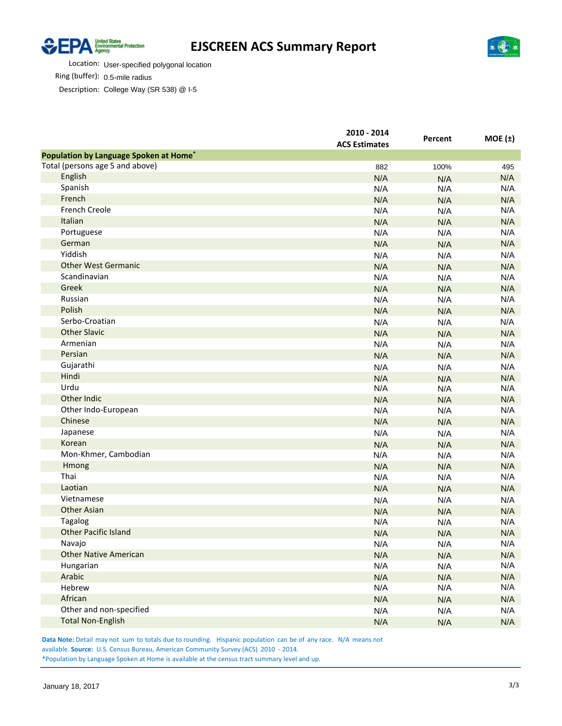

### **EJSCREEN ACS Summary Report**



Location: User-specified polygonal location Ring (buffer): 0.5-mile radius Description: College Way (SR 538) @ I-5

|                                                                                                                                                                                                       | <b>ACS Estimates</b> |      |  |
|-------------------------------------------------------------------------------------------------------------------------------------------------------------------------------------------------------|----------------------|------|--|
| Population by Language Spoken at Home*<br>Total (persons age 5 and above)                                                                                                                             | 882                  | 100% |  |
| English                                                                                                                                                                                               | N/A                  | N/A  |  |
| Spanish                                                                                                                                                                                               | N/A                  | N/A  |  |
| French                                                                                                                                                                                                | N/A                  | N/A  |  |
| French Creole                                                                                                                                                                                         | N/A                  | N/A  |  |
| Italian                                                                                                                                                                                               | N/A                  | N/A  |  |
| Portuguese                                                                                                                                                                                            | N/A                  | N/A  |  |
| German                                                                                                                                                                                                | N/A                  | N/A  |  |
| Yiddish                                                                                                                                                                                               | N/A                  | N/A  |  |
| <b>Other West Germanic</b>                                                                                                                                                                            | N/A                  | N/A  |  |
| Scandinavian                                                                                                                                                                                          | N/A                  | N/A  |  |
| Greek                                                                                                                                                                                                 | N/A                  | N/A  |  |
| Russian                                                                                                                                                                                               | N/A                  | N/A  |  |
| Polish                                                                                                                                                                                                | N/A                  | N/A  |  |
| Serbo-Croatian                                                                                                                                                                                        | N/A                  | N/A  |  |
| <b>Other Slavic</b>                                                                                                                                                                                   | N/A                  | N/A  |  |
| Armenian                                                                                                                                                                                              | N/A                  | N/A  |  |
| Persian                                                                                                                                                                                               | N/A                  | N/A  |  |
| Gujarathi                                                                                                                                                                                             | N/A                  | N/A  |  |
| Hindi                                                                                                                                                                                                 | N/A                  | N/A  |  |
| Urdu                                                                                                                                                                                                  | N/A                  | N/A  |  |
| Other Indic                                                                                                                                                                                           | N/A                  | N/A  |  |
| Other Indo-European                                                                                                                                                                                   | N/A                  | N/A  |  |
| Chinese                                                                                                                                                                                               | N/A                  | N/A  |  |
| Japanese                                                                                                                                                                                              | N/A                  | N/A  |  |
| Korean                                                                                                                                                                                                | N/A                  | N/A  |  |
| Mon-Khmer, Cambodian                                                                                                                                                                                  | N/A                  | N/A  |  |
| Hmong                                                                                                                                                                                                 | N/A                  | N/A  |  |
| Thai                                                                                                                                                                                                  | N/A                  | N/A  |  |
| Laotian                                                                                                                                                                                               | N/A                  | N/A  |  |
| Vietnamese                                                                                                                                                                                            | N/A                  | N/A  |  |
| <b>Other Asian</b>                                                                                                                                                                                    | N/A                  | N/A  |  |
| <b>Tagalog</b>                                                                                                                                                                                        | N/A                  | N/A  |  |
| <b>Other Pacific Island</b>                                                                                                                                                                           | N/A                  | N/A  |  |
| Navajo                                                                                                                                                                                                | N/A                  | N/A  |  |
| <b>Other Native American</b>                                                                                                                                                                          | N/A                  | N/A  |  |
| Hungarian                                                                                                                                                                                             | N/A                  | N/A  |  |
| Arabic                                                                                                                                                                                                | N/A                  | N/A  |  |
| Hebrew                                                                                                                                                                                                | N/A                  | N/A  |  |
| African                                                                                                                                                                                               | N/A                  | N/A  |  |
| Other and non-specified                                                                                                                                                                               | N/A                  | N/A  |  |
| <b>Total Non-English</b>                                                                                                                                                                              | N/A                  | N/A  |  |
| Data Note: Detail may not sum to totals due to rounding. Hispanic population can be of any race. N/A means not<br>available. Source: U.S. Census Bureau, American Community Survey (ACS) 2010 - 2014. |                      |      |  |
| *Population by Language Spoken at Home is available at the census tract summary level and up.                                                                                                         |                      |      |  |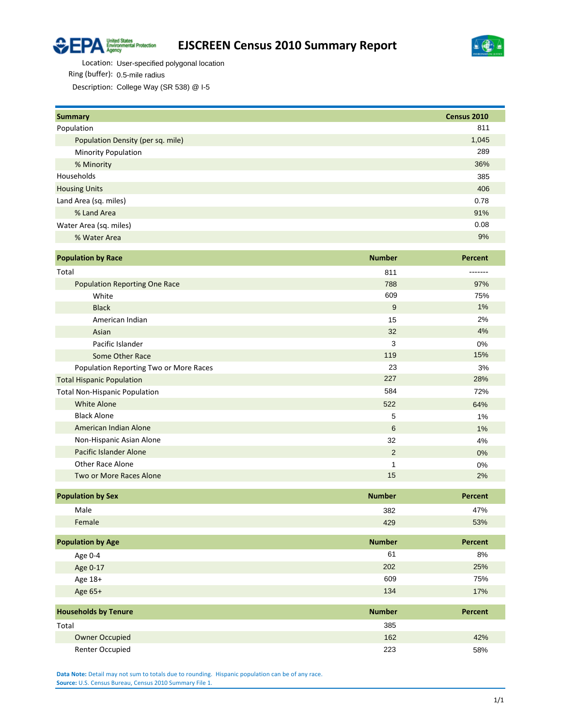



Location: User-specified polygonal location Ring (buffer): 0.5-mile radius

Description: College Way (SR 538) @ I-5

| 811<br>Population<br>1,045<br>Population Density (per sq. mile) |     |
|-----------------------------------------------------------------|-----|
|                                                                 |     |
|                                                                 |     |
| <b>Minority Population</b>                                      | 289 |
| % Minority<br>36%                                               |     |
| Households<br>385                                               |     |
| <b>Housing Units</b><br>406                                     |     |
| Land Area (sq. miles)<br>0.78                                   |     |
| % Land Area<br>91%                                              |     |
| 0.08<br>Water Area (sq. miles)                                  |     |
| 9%<br>% Water Area                                              |     |
| <b>Number</b><br><b>Population by Race</b><br><b>Percent</b>    |     |
| Total<br>811<br>-------                                         |     |
| 788<br><b>Population Reporting One Race</b><br>97%              |     |
| 609<br>75%<br>White                                             |     |
| 1%<br>9<br><b>Black</b>                                         |     |
| 2%<br>15<br>American Indian                                     |     |
| 4%<br>32<br>Asian                                               |     |
| 3<br>Pacific Islander<br>$0\%$                                  |     |
| 119<br>15%<br>Some Other Race                                   |     |
| 23<br>3%<br>Population Reporting Two or More Races              |     |
| 227<br>28%<br><b>Total Hispanic Population</b>                  |     |
| 584<br>72%<br><b>Total Non-Hispanic Population</b>              |     |
| <b>White Alone</b><br>522<br>64%                                |     |
| <b>Black Alone</b><br>5<br>1%                                   |     |
| American Indian Alone<br>$6\phantom{1}$<br>1%                   |     |
| Non-Hispanic Asian Alone<br>32<br>4%                            |     |
| <b>Pacific Islander Alone</b><br>$\overline{2}$<br>0%           |     |
| Other Race Alone<br>1<br>0%                                     |     |
| Two or More Races Alone<br>15<br>2%                             |     |
| <b>Population by Sex</b><br><b>Number</b><br><b>Percent</b>     |     |
| Male<br>47%                                                     |     |
| 382<br>Female<br>53%                                            |     |
| 429                                                             |     |
| <b>Population by Age</b><br><b>Number</b><br>Percent            |     |
| 61<br>8%<br>Age 0-4                                             |     |
| 202<br>25%<br>Age 0-17                                          |     |
| 75%<br>609<br>Age 18+                                           |     |
| 134<br>Age 65+<br>17%                                           |     |
| <b>Households by Tenure</b><br><b>Number</b><br>Percent         |     |
| 385<br>Total                                                    |     |
| <b>Owner Occupied</b><br>42%<br>162                             |     |
| Renter Occupied<br>223<br>58%                                   |     |

**Data Note:** Detail may not sum to totals due to rounding. Hispanic population can be of any race. **Source:** U.S. Census Bureau, Census 2010 Summary File 1.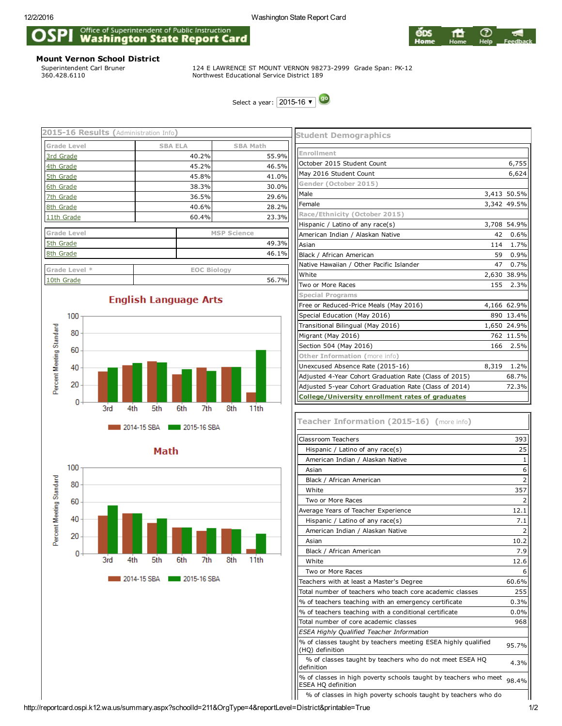12/2/2016 Washington State Report Card



#### Office of Superintendent of Public Instruction<br>**Washington State Report Card** OSP

#### Mount Vernon School District

Superintendent Carl Bruner 360.428.6110

124 E LAWRENCE ST MOUNT VERNON 98273-2999 Grade Span: PK-12 Northwest Educational Service District 189

> $\overline{Q}$ Select a year:  $\boxed{2015-16 \; \text{V}}$

| 2015-16 Results (Administration Info) |                    |                    |  |  |
|---------------------------------------|--------------------|--------------------|--|--|
| <b>Grade Level</b>                    | <b>SBA ELA</b>     | <b>SBA Math</b>    |  |  |
| 3rd Grade                             | 40.2%              | 55.9%              |  |  |
| 4th Grade                             | 45.2%              | 46.5%              |  |  |
| 5th Grade                             | 45.8%              | 41.0%              |  |  |
| 6th Grade                             | 38.3%              | 30.0%              |  |  |
| 7th Grade                             | 36.5%              | 29.6%              |  |  |
| 8th Grade                             | 40.6%              | 28.2%              |  |  |
| 11th Grade                            | 60.4%              | 23.3%              |  |  |
| <b>Grade Level</b>                    |                    | <b>MSP Science</b> |  |  |
| 5th Grade                             |                    | 49.3%              |  |  |
| 8th Grade                             |                    | 46.1%              |  |  |
| Grade Level *                         | <b>EOC Biology</b> |                    |  |  |
| 10th Grade                            |                    | 56.7%              |  |  |



**Math** 



| <b>Student Demographics</b>                             |       |             |
|---------------------------------------------------------|-------|-------------|
| Enrollment                                              |       |             |
| October 2015 Student Count                              |       | 6,755       |
| May 2016 Student Count                                  |       | 6,624       |
| Gender (October 2015)                                   |       |             |
| Male                                                    |       | 3,413 50.5% |
| Female                                                  |       | 3,342 49.5% |
| Race/Ethnicity (October 2015)                           |       |             |
| Hispanic / Latino of any race(s)                        |       | 3,708 54.9% |
| American Indian / Alaskan Native                        | 42    | 0.6%        |
| Asian                                                   | 114   | 1.7%        |
| Black / African American                                | 59    | 0.9%        |
| Native Hawaiian / Other Pacific Islander                | 47    | 0.7%        |
| White                                                   |       | 2,630 38.9% |
| Two or More Races                                       | 155   | 2.3%        |
| <b>Special Programs</b>                                 |       |             |
| Free or Reduced-Price Meals (May 2016)                  |       | 4,166 62.9% |
| Special Education (May 2016)                            | 890   | 13.4%       |
| Transitional Bilingual (May 2016)                       |       | 1,650 24.9% |
| Migrant (May 2016)                                      |       | 762 11.5%   |
| Section 504 (May 2016)                                  | 166   | 2.5%        |
| Other Information (more info)                           |       |             |
| Unexcused Absence Rate (2015-16)                        | 8,319 | 1.2%        |
| Adjusted 4-Year Cohort Graduation Rate (Class of 2015)  |       | 68.7%       |
| Adjusted 5-year Cohort Graduation Rate (Class of 2014)  |       | 72.3%       |
| <b>College/University enrollment rates of graduates</b> |       |             |

| <b>Teacher Information (2015-16)</b> (more info) |  |
|--------------------------------------------------|--|
|                                                  |  |

| Classroom Teachers                                                                     | 393            |
|----------------------------------------------------------------------------------------|----------------|
| Hispanic / Latino of any race(s)                                                       | 25             |
| American Indian / Alaskan Native                                                       | $\mathbf{1}$   |
| Asian                                                                                  | 6              |
| Black / African American                                                               | $\overline{2}$ |
| White                                                                                  | 357            |
| Two or More Races                                                                      | $\overline{2}$ |
| Average Years of Teacher Experience                                                    | 12.1           |
| Hispanic / Latino of any race(s)                                                       | 7.1            |
| American Indian / Alaskan Native                                                       | $\overline{2}$ |
| Asian                                                                                  | 10.2           |
| Black / African American                                                               | 7.9            |
| White                                                                                  | 12.6           |
| Two or More Races                                                                      | 6              |
| Teachers with at least a Master's Degree                                               | 60.6%          |
| Total number of teachers who teach core academic classes                               | 255            |
| % of teachers teaching with an emergency certificate                                   | 0.3%           |
| % of teachers teaching with a conditional certificate                                  | 0.0%           |
| Total number of core academic classes                                                  | 968            |
| ESEA Highly Qualified Teacher Information                                              |                |
| % of classes taught by teachers meeting ESEA highly qualified<br>(HQ) definition       | 95.7%          |
| % of classes taught by teachers who do not meet ESEA HQ<br>definition                  | 4.3%           |
| % of classes in high poverty schools taught by teachers who meet<br>ESEA HQ definition | 98.4%          |
| % of classes in high poverty schools taught by teachers who do                         |                |

http://reportcard.ospi.k12.wa.us/summary.aspx?schoolId=211&OrgType=4&reportLevel=District&printable=True 1/2